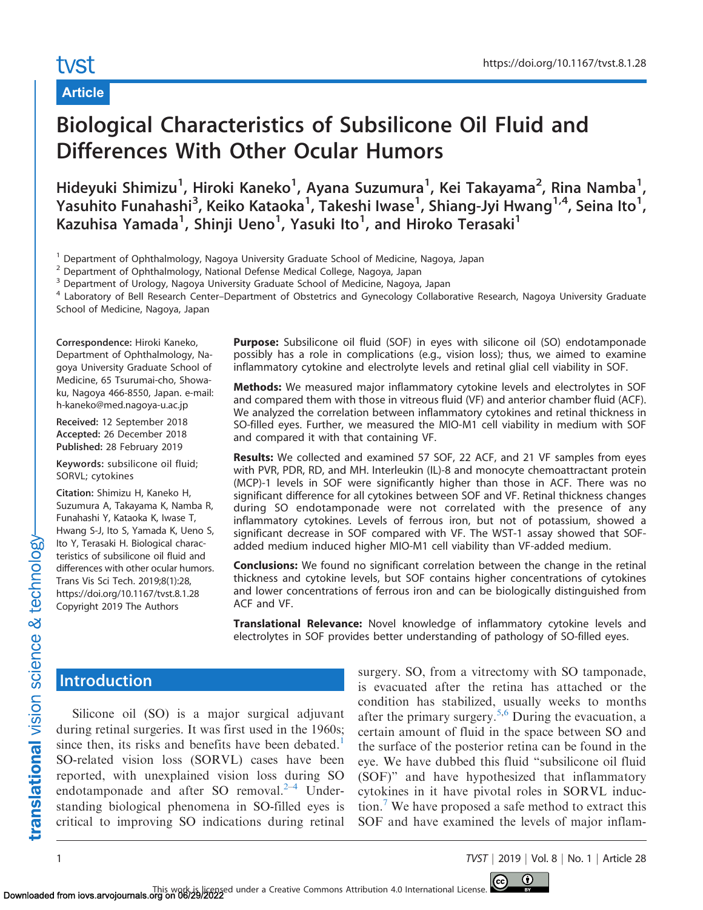# tyst

## Article

# Biological Characteristics of Subsilicone Oil Fluid and Differences With Other Ocular Humors

Hideyuki Shimizu<sup>1</sup>, Hiroki Kaneko<sup>1</sup>, Ayana Suzumura<sup>1</sup>, Kei Takayama<sup>2</sup>, Rina Namba<sup>1</sup>, Yasuhito Funahashi<sup>3</sup>, Keiko Kataoka<sup>1</sup>, Takeshi Iwase<sup>1</sup>, Shiang-Jyi Hwang<sup>1,4</sup>, Seina Ito<sup>1</sup>, Kazuhisa Yamada<sup>1</sup>, Shinji Ueno<sup>1</sup>, Yasuki Ito<sup>1</sup>, and Hiroko Terasaki<sup>1</sup>

<sup>1</sup> Department of Ophthalmology, Nagoya University Graduate School of Medicine, Nagoya, Japan

<sup>2</sup> Department of Ophthalmology, National Defense Medical College, Nagoya, Japan

<sup>3</sup> Department of Urology, Nagoya University Graduate School of Medicine, Nagoya, Japan

<sup>4</sup> Laboratory of Bell Research Center-Department of Obstetrics and Gynecology Collaborative Research, Nagoya University Graduate School of Medicine, Nagoya, Japan

Correspondence: Hiroki Kaneko, Department of Ophthalmology, Nagoya University Graduate School of Medicine, 65 Tsurumai-cho, Showaku, Nagoya 466-8550, Japan. e-mail: h-kaneko@med.nagoya-u.ac.jp

Received: 12 September 2018 Accepted: 26 December 2018 Published: 28 February 2019

Keywords: subsilicone oil fluid; SORVL; cytokines

Citation: Shimizu H, Kaneko H, Suzumura A, Takayama K, Namba R, Funahashi Y, Kataoka K, Iwase T, Hwang S-J, Ito S, Yamada K, Ueno S, Ito Y, Terasaki H. Biological characteristics of subsilicone oil fluid and differences with other ocular humors. Trans Vis Sci Tech. 2019;8(1):28, https://doi.org/10.1167/tvst.8.1.28 Copyright 2019 The Authors

Purpose: Subsilicone oil fluid (SOF) in eyes with silicone oil (SO) endotamponade possibly has a role in complications (e.g., vision loss); thus, we aimed to examine inflammatory cytokine and electrolyte levels and retinal glial cell viability in SOF.

**Methods:** We measured major inflammatory cytokine levels and electrolytes in SOF and compared them with those in vitreous fluid (VF) and anterior chamber fluid (ACF). We analyzed the correlation between inflammatory cytokines and retinal thickness in SO-filled eyes. Further, we measured the MIO-M1 cell viability in medium with SOF and compared it with that containing VF.

Results: We collected and examined 57 SOF, 22 ACF, and 21 VF samples from eyes with PVR, PDR, RD, and MH. Interleukin (IL)-8 and monocyte chemoattractant protein (MCP)-1 levels in SOF were significantly higher than those in ACF. There was no significant difference for all cytokines between SOF and VF. Retinal thickness changes during SO endotamponade were not correlated with the presence of any inflammatory cytokines. Levels of ferrous iron, but not of potassium, showed a significant decrease in SOF compared with VF. The WST-1 assay showed that SOFadded medium induced higher MIO-M1 cell viability than VF-added medium.

**Conclusions:** We found no significant correlation between the change in the retinal thickness and cytokine levels, but SOF contains higher concentrations of cytokines and lower concentrations of ferrous iron and can be biologically distinguished from ACF and VF.

Translational Relevance: Novel knowledge of inflammatory cytokine levels and electrolytes in SOF provides better understanding of pathology of SO-filled eyes.

## **Introduction**

Silicone oil (SO) is a major surgical adjuvant during retinal surgeries. It was first used in the 1960s; since then, its risks and benefits have been debated.<sup>1</sup> SO-related vision loss (SORVL) cases have been reported, with unexplained vision loss during SO endotamponade and after SO removal. $2-4$  Understanding biological phenomena in SO-filled eyes is critical to improving SO indications during retinal

surgery. SO, from a vitrectomy with SO tamponade, is evacuated after the retina has attached or the condition has stabilized, usually weeks to months after the primary surgery.<sup>[5,6](#page-7-0)</sup> During the evacuation, a certain amount of fluid in the space between SO and the surface of the posterior retina can be found in the eye. We have dubbed this fluid ''subsilicone oil fluid (SOF)'' and have hypothesized that inflammatory cytokines in it have pivotal roles in SORVL induction.[7](#page-7-0) We have proposed a safe method to extract this SOF and have examined the levels of major inflam-

1 TVST j 2019 j Vol. 8 j No. 1 j Article 28

 $\odot$ 

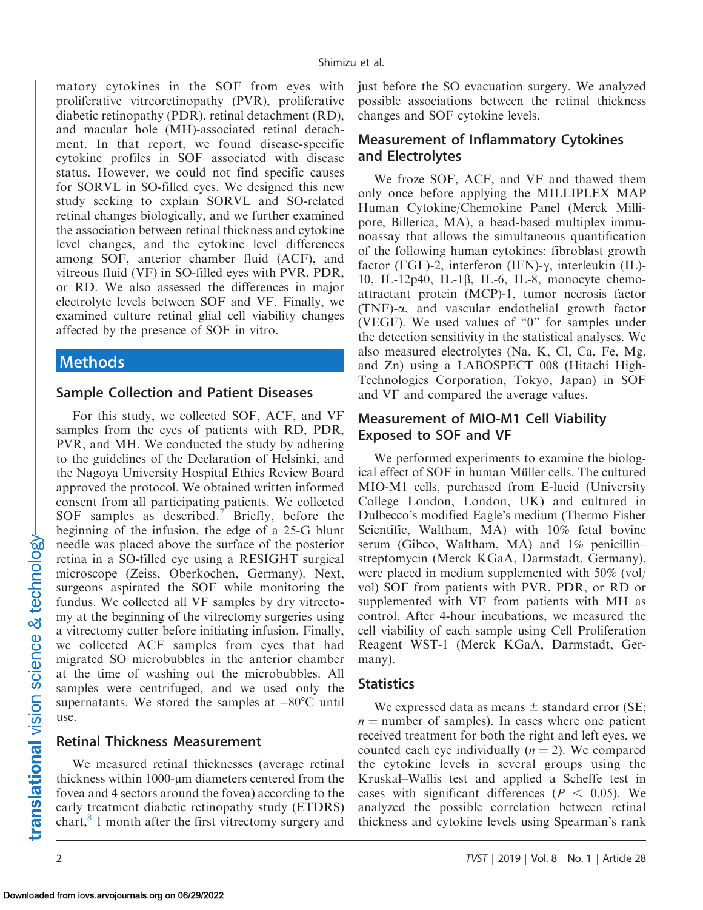matory cytokines in the SOF from eyes with proliferative vitreoretinopathy (PVR), proliferative diabetic retinopathy (PDR), retinal detachment (RD), and macular hole (MH)-associated retinal detachment. In that report, we found disease-specific cytokine profiles in SOF associated with disease status. However, we could not find specific causes for SORVL in SO-filled eyes. We designed this new study seeking to explain SORVL and SO-related retinal changes biologically, and we further examined the association between retinal thickness and cytokine level changes, and the cytokine level differences among SOF, anterior chamber fluid (ACF), and vitreous fluid (VF) in SO-filled eyes with PVR, PDR, or RD. We also assessed the differences in major electrolyte levels between SOF and VF. Finally, we examined culture retinal glial cell viability changes affected by the presence of SOF in vitro.

## Methods

#### Sample Collection and Patient Diseases

For this study, we collected SOF, ACF, and VF samples from the eyes of patients with RD, PDR, PVR, and MH. We conducted the study by adhering to the guidelines of the Declaration of Helsinki, and the Nagoya University Hospital Ethics Review Board approved the protocol. We obtained written informed consent from all participating patients. We collected SOF samples as described.<sup>[7](#page-7-0)</sup> Briefly, before the beginning of the infusion, the edge of a 25-G blunt needle was placed above the surface of the posterior retina in a SO-filled eye using a RESIGHT surgical microscope (Zeiss, Oberkochen, Germany). Next, surgeons aspirated the SOF while monitoring the fundus. We collected all VF samples by dry vitrectomy at the beginning of the vitrectomy surgeries using a vitrectomy cutter before initiating infusion. Finally, we collected ACF samples from eyes that had migrated SO microbubbles in the anterior chamber at the time of washing out the microbubbles. All samples were centrifuged, and we used only the supernatants. We stored the samples at  $-80^{\circ}$ C until use.

#### Retinal Thickness Measurement

We measured retinal thicknesses (average retinal thickness within 1000-um diameters centered from the fovea and 4 sectors around the fovea) according to the early treatment diabetic retinopathy study (ETDRS) chart, $8$  1 month after the first vitrectomy surgery and

### Measurement of Inflammatory Cytokines and Electrolytes

We froze SOF, ACF, and VF and thawed them only once before applying the MILLIPLEX MAP Human Cytokine/Chemokine Panel (Merck Millipore, Billerica, MA), a bead-based multiplex immunoassay that allows the simultaneous quantification of the following human cytokines: fibroblast growth factor (FGF)-2, interferon (IFN)- $\gamma$ , interleukin (IL)-10, IL-12p40, IL-1 $\beta$ , IL-6, IL-8, monocyte chemoattractant protein (MCP)-1, tumor necrosis factor (TNF)-a, and vascular endothelial growth factor (VEGF). We used values of ''0'' for samples under the detection sensitivity in the statistical analyses. We also measured electrolytes (Na, K, Cl, Ca, Fe, Mg, and Zn) using a LABOSPECT 008 (Hitachi High-Technologies Corporation, Tokyo, Japan) in SOF and VF and compared the average values.

### Measurement of MIO-M1 Cell Viability Exposed to SOF and VF

We performed experiments to examine the biological effect of SOF in human Müller cells. The cultured MIO-M1 cells, purchased from E-lucid (University College London, London, UK) and cultured in Dulbecco's modified Eagle's medium (Thermo Fisher Scientific, Waltham, MA) with 10% fetal bovine serum (Gibco, Waltham, MA) and 1% penicillin– streptomycin (Merck KGaA, Darmstadt, Germany), were placed in medium supplemented with 50% (vol/ vol) SOF from patients with PVR, PDR, or RD or supplemented with VF from patients with MH as control. After 4-hour incubations, we measured the cell viability of each sample using Cell Proliferation Reagent WST-1 (Merck KGaA, Darmstadt, Germany).

#### **Statistics**

We expressed data as means  $\pm$  standard error (SE;  $n =$  number of samples). In cases where one patient received treatment for both the right and left eyes, we counted each eye individually  $(n = 2)$ . We compared the cytokine levels in several groups using the Kruskal–Wallis test and applied a Scheffe test in cases with significant differences ( $P < 0.05$ ). We analyzed the possible correlation between retinal thickness and cytokine levels using Spearman's rank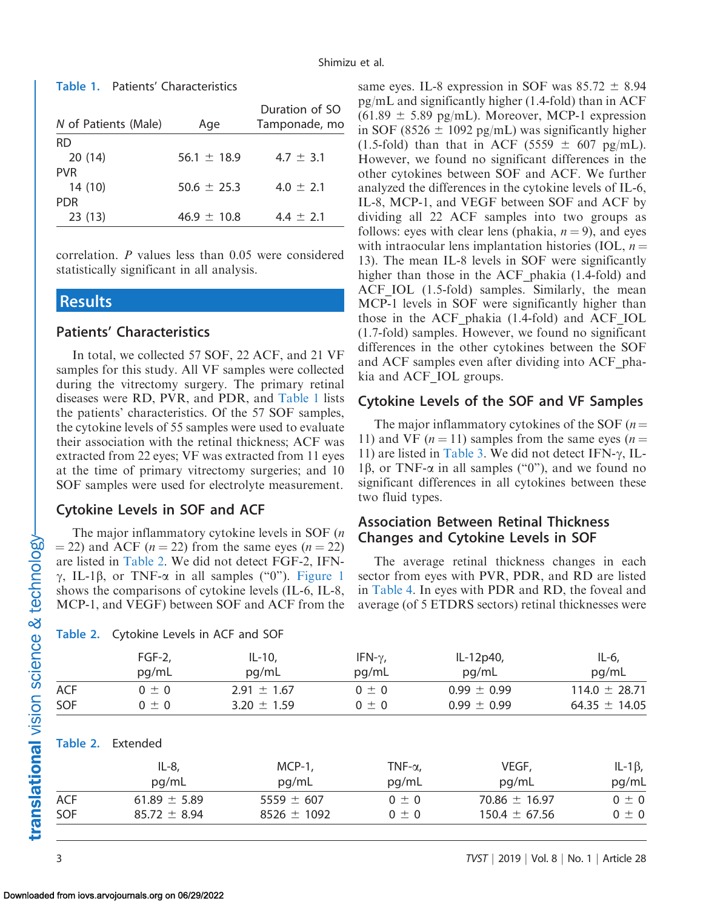| N of Patients (Male) | Age             | Duration of SO<br>Tamponade, mo |
|----------------------|-----------------|---------------------------------|
| RD.                  |                 |                                 |
| 20(14)               | $56.1 \pm 18.9$ | $4.7 \pm 3.1$                   |
| <b>PVR</b>           |                 |                                 |
| 14 (10)              | $50.6 \pm 25.3$ | $4.0 \pm 2.1$                   |
| <b>PDR</b>           |                 |                                 |
| 23(13)               | $46.9 \pm 10.8$ | $4.4 \pm 2.1$                   |

## Table 1. Patients' Characteristics

correlation. P values less than 0.05 were considered statistically significant in all analysis.

#### **Results**

#### Patients' Characteristics

In total, we collected 57 SOF, 22 ACF, and 21 VF samples for this study. All VF samples were collected during the vitrectomy surgery. The primary retinal diseases were RD, PVR, and PDR, and Table 1 lists the patients' characteristics. Of the 57 SOF samples, the cytokine levels of 55 samples were used to evaluate their association with the retinal thickness; ACF was extracted from 22 eyes; VF was extracted from 11 eyes at the time of primary vitrectomy surgeries; and 10 SOF samples were used for electrolyte measurement.

#### Cytokine Levels in SOF and ACF

Table 2. Cytokine Levels in ACF and SOF

The major inflammatory cytokine levels in SOF (*n*  $=$  22) and ACF (*n*  $=$  22) from the same eyes (*n*  $=$  22) are listed in Table 2. We did not detect FGF-2, IFN- $\gamma$ , IL-1 $\beta$ , or TNF- $\alpha$  in all samples ("0"). [Figure 1](#page-3-0) shows the comparisons of cytokine levels (IL-6, IL-8, MCP-1, and VEGF) between SOF and ACF from the same eyes. IL-8 expression in SOF was  $85.72 \pm 8.94$ pg/mL and significantly higher (1.4-fold) than in ACF  $(61.89 \pm 5.89 \text{ pg/mL})$ . Moreover, MCP-1 expression in SOF (8526  $\pm$  1092 pg/mL) was significantly higher (1.5-fold) than that in ACF (5559  $\pm$  607 pg/mL). However, we found no significant differences in the other cytokines between SOF and ACF. We further analyzed the differences in the cytokine levels of IL-6, IL-8, MCP-1, and VEGF between SOF and ACF by dividing all 22 ACF samples into two groups as follows: eyes with clear lens (phakia,  $n = 9$ ), and eyes with intraocular lens implantation histories (IOL,  $n =$ 13). The mean IL-8 levels in SOF were significantly higher than those in the ACF phakia (1.4-fold) and ACF IOL (1.5-fold) samples. Similarly, the mean MCP-1 levels in SOF were significantly higher than those in the ACF\_phakia (1.4-fold) and ACF\_IOL (1.7-fold) samples. However, we found no significant differences in the other cytokines between the SOF and ACF samples even after dividing into ACF\_phakia and ACF\_IOL groups.

#### Cytokine Levels of the SOF and VF Samples

The major inflammatory cytokines of the SOF  $(n=$ 11) and VF ( $n = 11$ ) samples from the same eyes ( $n =$ 11) are listed in [Table 3](#page-4-0). We did not detect IFN- $\gamma$ , IL-1 $\beta$ , or TNF- $\alpha$  in all samples ("0"), and we found no significant differences in all cytokines between these two fluid types.

## Association Between Retinal Thickness Changes and Cytokine Levels in SOF

The average retinal thickness changes in each sector from eyes with PVR, PDR, and RD are listed in [Table 4](#page-4-0). In eyes with PDR and RD, the foveal and average (of 5 ETDRS sectors) retinal thicknesses were

|            | $FGF-2,$<br>pg/mL        | $IL-10,$<br>pg/mL | IFN- $\gamma$ ,<br>pg/mL | IL-12p40,<br>pg/mL | $IL-6$ ,<br>pg/mL |  |
|------------|--------------------------|-------------------|--------------------------|--------------------|-------------------|--|
| ACF        | $0 \pm 0$                | $2.91 \pm 1.67$   | $0 \pm 0$                | $0.99 \pm 0.99$    | $114.0 \pm 28.71$ |  |
| SOF        | $0 \pm 0$                | $3.20 \pm 1.59$   | $0 \pm 0$                | $0.99 \pm 0.99$    | 64.35 $\pm$ 14.05 |  |
|            | <b>Table 2.</b> Extended |                   |                          |                    |                   |  |
|            | $IL-8$ ,                 | $MCP-1$ ,         | TNF- $\alpha$ ,          | VEGF,              | IL-1 $\beta$ ,    |  |
|            | pg/mL                    | pg/mL             | pg/mL                    | pg/mL              | pg/mL             |  |
| <b>ACF</b> | 61.89 $\pm$ 5.89         | 5559 $\pm$ 607    | $0 \pm 0$                | 70.86 $\pm$ 16.97  | $0 \pm 0$         |  |
| <b>SOF</b> | $85.72 \pm 8.94$         | $8526 \pm 1092$   | 0 ± 0                    | $150.4 \pm 67.56$  | $0 \pm 0$         |  |

translational vision science & technology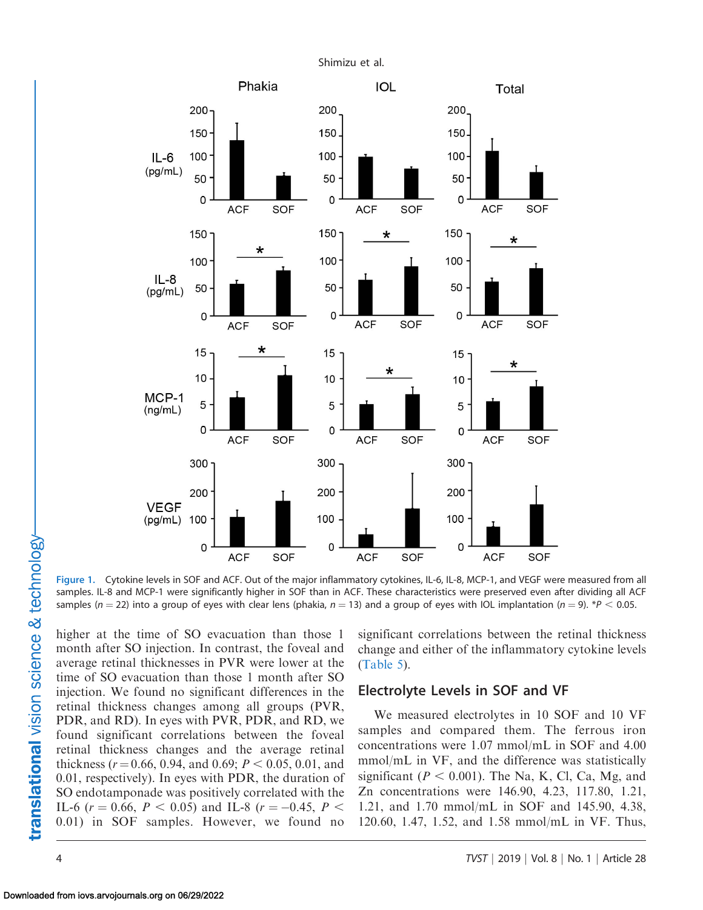<span id="page-3-0"></span>

Figure 1. Cytokine levels in SOF and ACF. Out of the major inflammatory cytokines, IL-6, IL-8, MCP-1, and VEGF were measured from all samples. IL-8 and MCP-1 were significantly higher in SOF than in ACF. These characteristics were preserved even after dividing all ACF samples ( $n = 22$ ) into a group of eyes with clear lens (phakia,  $n = 13$ ) and a group of eyes with IOL implantation ( $n = 9$ ). \*P < 0.05.

higher at the time of SO evacuation than those 1 month after SO injection. In contrast, the foveal and average retinal thicknesses in PVR were lower at the time of SO evacuation than those 1 month after SO injection. We found no significant differences in the retinal thickness changes among all groups (PVR, PDR, and RD). In eyes with PVR, PDR, and RD, we found significant correlations between the foveal retinal thickness changes and the average retinal thickness ( $r = 0.66$ , 0.94, and 0.69;  $P < 0.05$ , 0.01, and 0.01, respectively). In eyes with PDR, the duration of SO endotamponade was positively correlated with the IL-6 ( $r = 0.66$ ,  $P < 0.05$ ) and IL-8 ( $r = -0.45$ ,  $P <$ 0.01) in SOF samples. However, we found no significant correlations between the retinal thickness change and either of the inflammatory cytokine levels ([Table 5](#page-5-0)).

#### Electrolyte Levels in SOF and VF

We measured electrolytes in 10 SOF and 10 VF samples and compared them. The ferrous iron concentrations were 1.07 mmol/mL in SOF and 4.00 mmol/mL in VF, and the difference was statistically significant ( $P < 0.001$ ). The Na, K, Cl, Ca, Mg, and Zn concentrations were 146.90, 4.23, 117.80, 1.21, 1.21, and 1.70 mmol/mL in SOF and 145.90, 4.38, 120.60, 1.47, 1.52, and 1.58 mmol/mL in VF. Thus,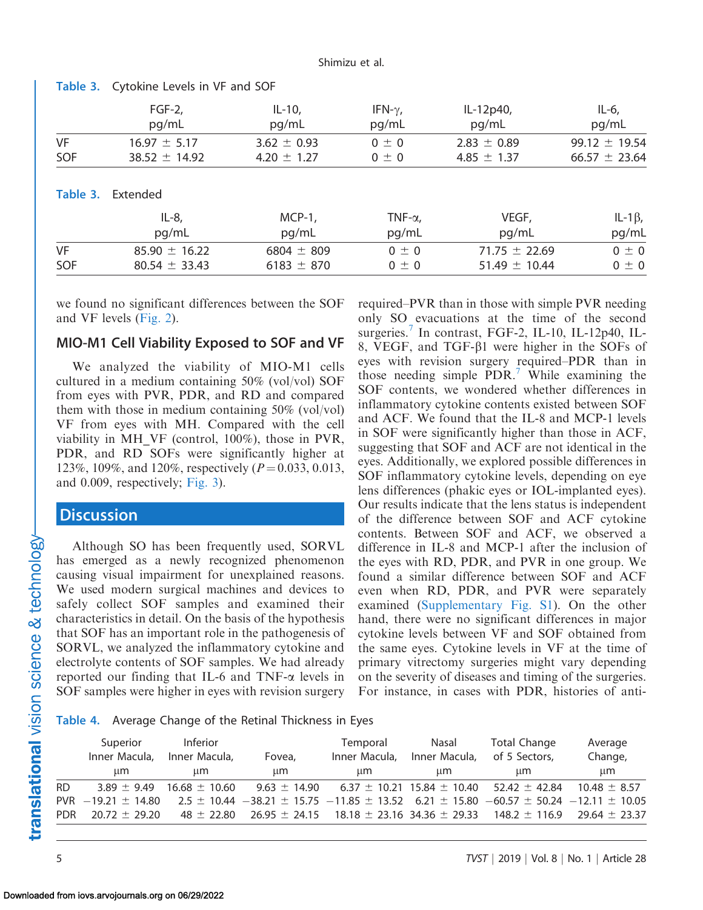| $FGF-2,$<br>pg/mL        | $IL-10,$<br>pg/mL | IFN- $\gamma$ ,<br>pg/mL | IL-12p40,<br>pg/mL | $IL-6$<br>pg/mL         |
|--------------------------|-------------------|--------------------------|--------------------|-------------------------|
| $16.97 \pm 5.17$         | $3.62 \pm 0.93$   | $0 \pm 0$                | $2.83 \pm 0.89$    | $99.12 \pm 19.54$       |
| $38.52 \pm 14.92$        | 4.20 $\pm$ 1.27   | $0 \pm 0$                | 4.85 $\pm$ 1.37    | $66.57 \pm 23.64$       |
| <b>Table 3. Extended</b> |                   |                          |                    |                         |
| pg/mL                    | pg/mL             | pg/mL                    | pg/mL              | IL-1 $\beta$ ,<br>pg/mL |
| $85.90 \pm 16.22$        | $6804 \pm 809$    | $0 \pm 0$                | $71.75 \pm 22.69$  | $0 \pm 0$               |
| $80.54 \pm 33.43$        | $6183 \pm 870$    | $0 \pm 0$                | $51.49 \pm 10.44$  | $0 \pm 0$               |
|                          | $IL-8$ ,          | $MCP-1$ ,                | TNF- $\alpha$ ,    | VEGF,                   |

#### <span id="page-4-0"></span>Table 3. Cytokine Levels in VF and SOF

we found no significant differences between the SOF and VF levels ([Fig. 2](#page-5-0)).

#### MIO-M1 Cell Viability Exposed to SOF and VF

We analyzed the viability of MIO-M1 cells cultured in a medium containing 50% (vol/vol) SOF from eyes with PVR, PDR, and RD and compared them with those in medium containing 50% (vol/vol) VF from eyes with MH. Compared with the cell viability in MH\_VF (control, 100%), those in PVR, PDR, and RD SOFs were significantly higher at 123%, 109%, and 120%, respectively  $(P=0.033, 0.013,$ and 0.009, respectively; [Fig. 3](#page-6-0)).

## **Discussion**

Although SO has been frequently used, SORVL has emerged as a newly recognized phenomenon causing visual impairment for unexplained reasons. We used modern surgical machines and devices to safely collect SOF samples and examined their characteristics in detail. On the basis of the hypothesis that SOF has an important role in the pathogenesis of SORVL, we analyzed the inflammatory cytokine and electrolyte contents of SOF samples. We had already reported our finding that IL-6 and TNF- $\alpha$  levels in SOF samples were higher in eyes with revision surgery

required–PVR than in those with simple PVR needing only SO evacuations at the time of the second surgeries.<sup>[7](#page-7-0)</sup> In contrast, FGF-2, IL-10, IL-12p40, IL-8, VEGF, and TGF- $\beta$ 1 were higher in the SOFs of eyes with revision surgery required–PDR than in those needing simple PDR[.7](#page-7-0) While examining the SOF contents, we wondered whether differences in inflammatory cytokine contents existed between SOF and ACF. We found that the IL-8 and MCP-1 levels in SOF were significantly higher than those in ACF, suggesting that SOF and ACF are not identical in the eyes. Additionally, we explored possible differences in SOF inflammatory cytokine levels, depending on eye lens differences (phakic eyes or IOL-implanted eyes). Our results indicate that the lens status is independent of the difference between SOF and ACF cytokine contents. Between SOF and ACF, we observed a difference in IL-8 and MCP-1 after the inclusion of the eyes with RD, PDR, and PVR in one group. We found a similar difference between SOF and ACF even when RD, PDR, and PVR were separately examined [\(Supplementary Fig. S1\)](https://arvo.silverchair-cdn.com/arvo/content_public/journal/tvst/937738/tvst-08-01-14_s01.pdf?Expires=1550941191&Signature=QziSNv2KBmpIPEgwMk5JNXRuk~Qw~36RCtzzlpXzG0AworXK0VMh81yf2mGqD19GP~0cD3~OJqyF16A6VfLppmIrT7qHejiq33tp-H4SzekOtIIbqVQlzs6QIb4fnD~nQs439gqQdBzX5klVUkrRHll8F0-8SA~Uaf6ApcDHGoeCqJ5kdMLr-tEQDokBq8pfc9r6VNr9TUGOKjlzGjPsu1-Qv4mz84TXDen8nTYAAXrpkQqIelhXSXOCQgQzgK2A10bxDoy9pwu4mQu6lsE~sOCFABZwCcgN7DrAd8PEp-MFNRqsGJhqNQIT4eSDTQ5gKd9HWCoDQzd70hs6I6sWNQ__&Key-Pair-Id=APKAIE5G5CRDK6RD3PGA). On the other hand, there were no significant differences in major cytokine levels between VF and SOF obtained from the same eyes. Cytokine levels in VF at the time of primary vitrectomy surgeries might vary depending on the severity of diseases and timing of the surgeries. For instance, in cases with PDR, histories of anti-

Table 4. Average Change of the Retinal Thickness in Eyes

|            | Superior<br>Inner Macula,<br>μm | <b>Inferior</b><br>Inner Macula,<br>um. | Fovea,<br>μm                                                                                                 | Temporal<br>Inner Macula,<br>um. | Nasal<br>Inner Macula,<br>um. | Total Change<br>of 5 Sectors.<br>μm                                     | Average<br>Change,<br>μm |  |
|------------|---------------------------------|-----------------------------------------|--------------------------------------------------------------------------------------------------------------|----------------------------------|-------------------------------|-------------------------------------------------------------------------|--------------------------|--|
| <b>RD</b>  | $3.89 + 9.49$                   | $16.68 \pm 10.60$                       | $9.63 \pm 14.90$                                                                                             |                                  |                               | $6.37 \pm 10.21$ 15.84 $\pm$ 10.40 52.42 $\pm$ 42.84                    | $10.48 + 8.57$           |  |
|            | $PVR$ $-19.21$ + 14.80          |                                         | $2.5 \pm 10.44$ $-38.21 \pm 15.75$ $-11.85 \pm 13.52$ 6.21 $\pm$ 15.80 $-60.57 \pm 50.24$ $-12.11 \pm 10.05$ |                                  |                               |                                                                         |                          |  |
| <b>PDR</b> | $20.72 + 29.20$                 | $48 + 22.80$                            |                                                                                                              |                                  |                               | $26.95 \pm 24.15$ 18.18 $\pm$ 23.16 34.36 $\pm$ 29.33 148.2 $\pm$ 116.9 | $29.64 \pm 23.37$        |  |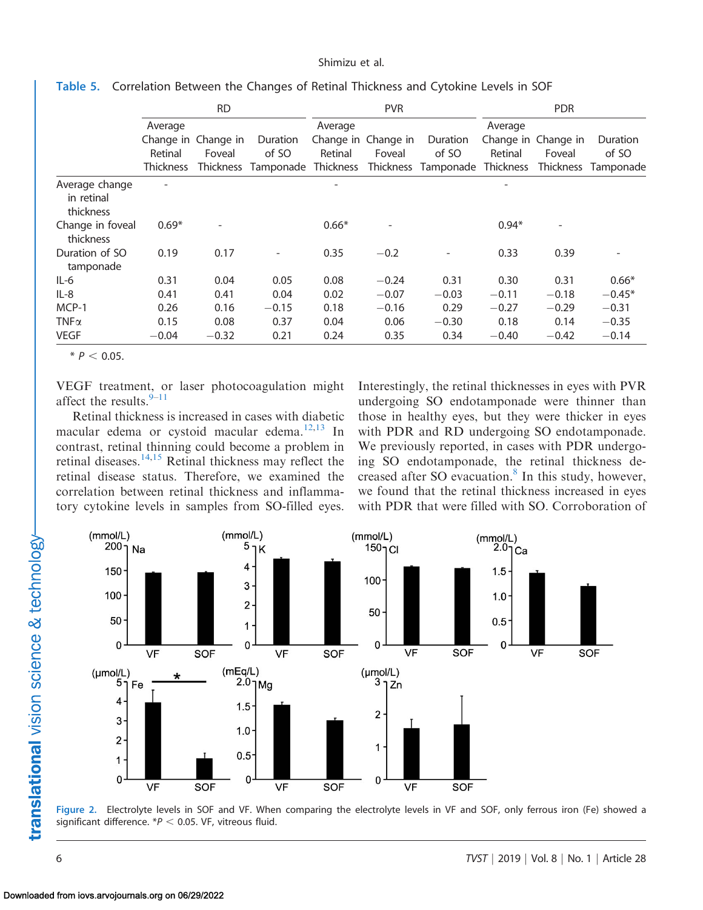|                                           | <b>RD</b>                              |                                            |                                          | <b>PVR</b>         |                               |                                                    | <b>PDR</b>         |                                            |                                |
|-------------------------------------------|----------------------------------------|--------------------------------------------|------------------------------------------|--------------------|-------------------------------|----------------------------------------------------|--------------------|--------------------------------------------|--------------------------------|
|                                           | Average<br>Retinal<br><b>Thickness</b> | Change in Change in<br>Foveal<br>Thickness | Duration<br>of SO<br>Tamponade Thickness | Average<br>Retinal | Change in Change in<br>Foveal | Duration<br>of SO<br>Thickness Tamponade Thickness | Average<br>Retinal | Change in Change in<br>Foveal<br>Thickness | Duration<br>of SO<br>Tamponade |
| Average change<br>in retinal<br>thickness |                                        |                                            |                                          |                    |                               |                                                    |                    |                                            |                                |
| Change in foveal<br>thickness             | $0.69*$                                | ۳                                          |                                          | $0.66*$            | $\overline{\phantom{a}}$      |                                                    | $0.94*$            | $\overline{\phantom{0}}$                   |                                |
| Duration of SO<br>tamponade               | 0.19                                   | 0.17                                       |                                          | 0.35               | $-0.2$                        |                                                    | 0.33               | 0.39                                       |                                |
| $IL-6$                                    | 0.31                                   | 0.04                                       | 0.05                                     | 0.08               | $-0.24$                       | 0.31                                               | 0.30               | 0.31                                       | $0.66*$                        |
| $IL-8$                                    | 0.41                                   | 0.41                                       | 0.04                                     | 0.02               | $-0.07$                       | $-0.03$                                            | $-0.11$            | $-0.18$                                    | $-0.45*$                       |
| MCP-1                                     | 0.26                                   | 0.16                                       | $-0.15$                                  | 0.18               | $-0.16$                       | 0.29                                               | $-0.27$            | $-0.29$                                    | $-0.31$                        |
| TNF $\alpha$                              | 0.15                                   | 0.08                                       | 0.37                                     | 0.04               | 0.06                          | $-0.30$                                            | 0.18               | 0.14                                       | $-0.35$                        |
| <b>VEGF</b>                               | $-0.04$                                | $-0.32$                                    | 0.21                                     | 0.24               | 0.35                          | 0.34                                               | $-0.40$            | $-0.42$                                    | $-0.14$                        |

<span id="page-5-0"></span>Table 5. Correlation Between the Changes of Retinal Thickness and Cytokine Levels in SOF

 $* P < 0.05.$ 

VEGF treatment, or laser photocoagulation might affect the results. $9-11$ 

Retinal thickness is increased in cases with diabetic macular edema or cystoid macular edema. $12,13$  In contrast, retinal thinning could become a problem in retinal diseases. $14,15$  Retinal thickness may reflect the retinal disease status. Therefore, we examined the correlation between retinal thickness and inflammatory cytokine levels in samples from SO-filled eyes. Interestingly, the retinal thicknesses in eyes with PVR undergoing SO endotamponade were thinner than those in healthy eyes, but they were thicker in eyes with PDR and RD undergoing SO endotamponade. We previously reported, in cases with PDR undergoing SO endotamponade, the retinal thickness decreased after SO evacuation. $8$  In this study, however, we found that the retinal thickness increased in eyes with PDR that were filled with SO. Corroboration of



Figure 2. Electrolyte levels in SOF and VF. When comparing the electrolyte levels in VF and SOF, only ferrous iron (Fe) showed a significant difference.  $*P < 0.05$ . VF, vitreous fluid.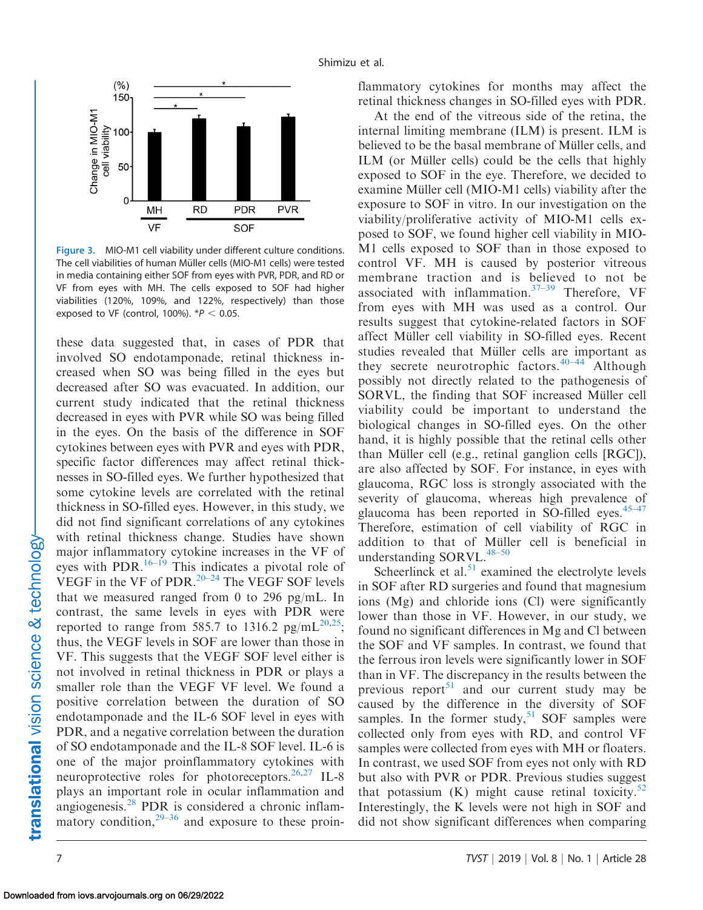<span id="page-6-0"></span>

Figure 3. MIO-M1 cell viability under different culture conditions. The cell viabilities of human Müller cells (MIO-M1 cells) were tested in media containing either SOF from eyes with PVR, PDR, and RD or VF from eyes with MH. The cells exposed to SOF had higher viabilities (120%, 109%, and 122%, respectively) than those exposed to VF (control, 100%).  $*P < 0.05$ .

these data suggested that, in cases of PDR that involved SO endotamponade, retinal thickness increased when SO was being filled in the eyes but decreased after SO was evacuated. In addition, our current study indicated that the retinal thickness decreased in eyes with PVR while SO was being filled in the eyes. On the basis of the difference in SOF cytokines between eyes with PVR and eyes with PDR, specific factor differences may affect retinal thicknesses in SO-filled eyes. We further hypothesized that some cytokine levels are correlated with the retinal thickness in SO-filled eyes. However, in this study, we did not find significant correlations of any cytokines with retinal thickness change. Studies have shown major inflammatory cytokine increases in the VF of eyes with PDR.<sup>[16–19](#page-8-0)</sup> This indicates a pivotal role of VEGF in the VF of PDR. $20-24$  The VEGF SOF levels that we measured ranged from 0 to 296 pg/mL. In contrast, the same levels in eyes with PDR were reported to range from 585.7 to 1316.2 pg/mL<sup>20,25</sup>; thus, the VEGF levels in SOF are lower than those in VF. This suggests that the VEGF SOF level either is not involved in retinal thickness in PDR or plays a smaller role than the VEGF VF level. We found a positive correlation between the duration of SO endotamponade and the IL-6 SOF level in eyes with PDR, and a negative correlation between the duration of SO endotamponade and the IL-8 SOF level. IL-6 is one of the major proinflammatory cytokines with neuroprotective roles for photoreceptors.  $^{26,27}$  $^{26,27}$  $^{26,27}$  IL-8 plays an important role in ocular inflammation and angiogenesis[.28](#page-8-0) PDR is considered a chronic inflammatory condition, $2^{9-36}$  and exposure to these proinflammatory cytokines for months may affect the retinal thickness changes in SO-filled eyes with PDR.

At the end of the vitreous side of the retina, the internal limiting membrane (ILM) is present. ILM is believed to be the basal membrane of Müller cells, and ILM (or Müller cells) could be the cells that highly exposed to SOF in the eye. Therefore, we decided to examine Müller cell (MIO-M1 cells) viability after the exposure to SOF in vitro. In our investigation on the viability/proliferative activity of MIO-M1 cells exposed to SOF, we found higher cell viability in MIO-M1 cells exposed to SOF than in those exposed to control VF. MH is caused by posterior vitreous membrane traction and is believed to not be associated with inflammation.<sup>[37](#page-8-0)[–39](#page-9-0)</sup> Therefore, VF from eyes with MH was used as a control. Our results suggest that cytokine-related factors in SOF affect Müller cell viability in SO-filled eyes. Recent studies revealed that Müller cells are important as they secrete neurotrophic factors.[40–44](#page-9-0) Although possibly not directly related to the pathogenesis of SORVL, the finding that SOF increased Müller cell viability could be important to understand the biological changes in SO-filled eyes. On the other hand, it is highly possible that the retinal cells other than Müller cell (e.g., retinal ganglion cells  $[RGC]$ ), are also affected by SOF. For instance, in eyes with glaucoma, RGC loss is strongly associated with the severity of glaucoma, whereas high prevalence of glaucoma has been reported in SO-filled eyes. $45-47$ Therefore, estimation of cell viability of RGC in addition to that of Müller cell is beneficial in understanding  $SORVL.<sup>48-50</sup>$ 

Scheerlinck et al. $51$  examined the electrolyte levels in SOF after RD surgeries and found that magnesium ions (Mg) and chloride ions (Cl) were significantly lower than those in VF. However, in our study, we found no significant differences in Mg and Cl between the SOF and VF samples. In contrast, we found that the ferrous iron levels were significantly lower in SOF than in VF. The discrepancy in the results between the previous report<sup>51</sup> and our current study may be caused by the difference in the diversity of SOF samples. In the former study,  $51$  SOF samples were collected only from eyes with RD, and control VF samples were collected from eyes with MH or floaters. In contrast, we used SOF from eyes not only with RD but also with PVR or PDR. Previous studies suggest that potassium  $(K)$  might cause retinal toxicity.<sup>[52](#page-9-0)</sup> Interestingly, the K levels were not high in SOF and did not show significant differences when comparing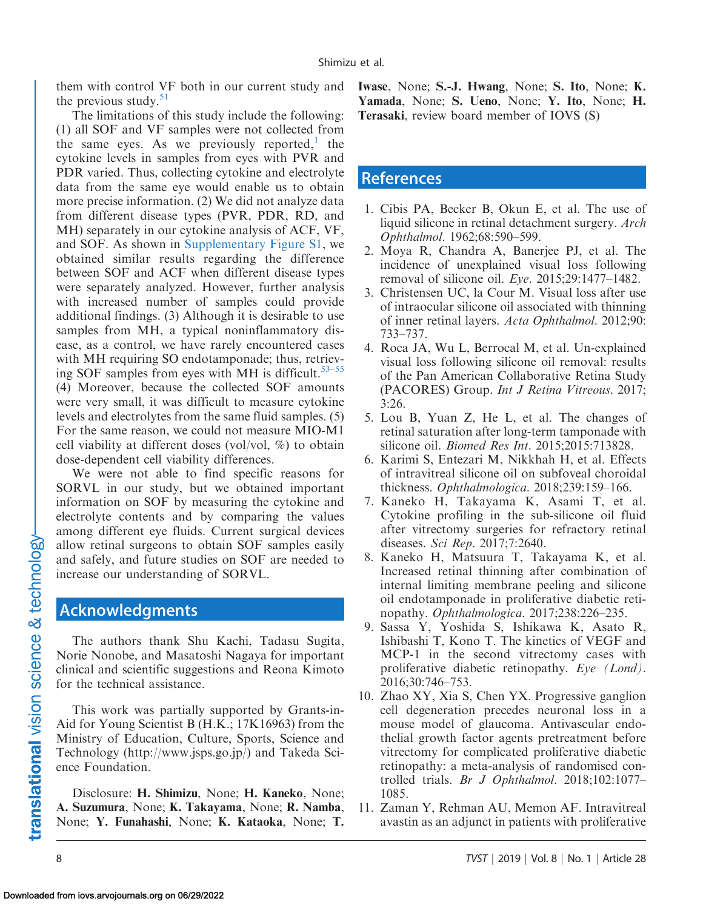<span id="page-7-0"></span>them with control VF both in our current study and the previous study. $51$ 

The limitations of this study include the following: (1) all SOF and VF samples were not collected from the same eyes. As we previously reported, the cytokine levels in samples from eyes with PVR and PDR varied. Thus, collecting cytokine and electrolyte data from the same eye would enable us to obtain more precise information. (2) We did not analyze data from different disease types (PVR, PDR, RD, and MH) separately in our cytokine analysis of ACF, VF, and SOF. As shown in [Supplementary Figure S1,](https://arvo.silverchair-cdn.com/arvo/content_public/journal/tvst/937738/tvst-08-01-14_s01.pdf?Expires=1550941191&Signature=QziSNv2KBmpIPEgwMk5JNXRuk~Qw~36RCtzzlpXzG0AworXK0VMh81yf2mGqD19GP~0cD3~OJqyF16A6VfLppmIrT7qHejiq33tp-H4SzekOtIIbqVQlzs6QIb4fnD~nQs439gq) we obtained similar results regarding the difference between SOF and ACF when different disease types were separately analyzed. However, further analysis with increased number of samples could provide additional findings. (3) Although it is desirable to use samples from MH, a typical noninflammatory disease, as a control, we have rarely encountered cases with MH requiring SO endotamponade; thus, retrieving SOF samples from eyes with MH is difficult.<sup>53–55</sup> (4) Moreover, because the collected SOF amounts were very small, it was difficult to measure cytokine levels and electrolytes from the same fluid samples. (5) For the same reason, we could not measure MIO-M1 cell viability at different doses (vol/vol, %) to obtain dose-dependent cell viability differences.

We were not able to find specific reasons for SORVL in our study, but we obtained important information on SOF by measuring the cytokine and electrolyte contents and by comparing the values among different eye fluids. Current surgical devices allow retinal surgeons to obtain SOF samples easily and safely, and future studies on SOF are needed to increase our understanding of SORVL.

## Acknowledgments

The authors thank Shu Kachi, Tadasu Sugita, Norie Nonobe, and Masatoshi Nagaya for important clinical and scientific suggestions and Reona Kimoto for the technical assistance.

This work was partially supported by Grants-in-Aid for Young Scientist B (H.K.; 17K16963) from the Ministry of Education, Culture, Sports, Science and Technology (http://www.jsps.go.jp/) and Takeda Science Foundation.

Disclosure: H. Shimizu, None; H. Kaneko, None; A. Suzumura, None; K. Takayama, None; R. Namba, None; Y. Funahashi, None; K. Kataoka, None; T. Iwase, None; S.-J. Hwang, None; S. Ito, None; K. Yamada, None; S. Ueno, None; Y. Ito, None; H. Terasaki, review board member of IOVS (S)

## **References**

- 1. Cibis PA, Becker B, Okun E, et al. The use of liquid silicone in retinal detachment surgery. Arch Ophthalmol. 1962;68:590–599.
- 2. Moya R, Chandra A, Banerjee PJ, et al. The incidence of unexplained visual loss following removal of silicone oil. Eye. 2015;29:1477–1482.
- 3. Christensen UC, la Cour M. Visual loss after use of intraocular silicone oil associated with thinning of inner retinal layers. Acta Ophthalmol. 2012;90: 733–737.
- 4. Roca JA, Wu L, Berrocal M, et al. Un-explained visual loss following silicone oil removal: results of the Pan American Collaborative Retina Study (PACORES) Group. Int J Retina Vitreous. 2017; 3:26.
- 5. Lou B, Yuan Z, He L, et al. The changes of retinal saturation after long-term tamponade with silicone oil. Biomed Res Int. 2015;2015:713828.
- 6. Karimi S, Entezari M, Nikkhah H, et al. Effects of intravitreal silicone oil on subfoveal choroidal thickness. Ophthalmologica. 2018;239:159–166.
- 7. Kaneko H, Takayama K, Asami T, et al. Cytokine profiling in the sub-silicone oil fluid after vitrectomy surgeries for refractory retinal diseases. Sci Rep. 2017;7:2640.
- 8. Kaneko H, Matsuura T, Takayama K, et al. Increased retinal thinning after combination of internal limiting membrane peeling and silicone oil endotamponade in proliferative diabetic retinopathy. Ophthalmologica. 2017;238:226–235.
- 9. Sassa Y, Yoshida S, Ishikawa K, Asato R, Ishibashi T, Kono T. The kinetics of VEGF and MCP-1 in the second vitrectomy cases with proliferative diabetic retinopathy. Eye (Lond). 2016;30:746–753.
- 10. Zhao XY, Xia S, Chen YX. Progressive ganglion cell degeneration precedes neuronal loss in a mouse model of glaucoma. Antivascular endothelial growth factor agents pretreatment before vitrectomy for complicated proliferative diabetic retinopathy: a meta-analysis of randomised controlled trials. Br J Ophthalmol. 2018;102:1077– 1085.
- 11. Zaman Y, Rehman AU, Memon AF. Intravitreal avastin as an adjunct in patients with proliferative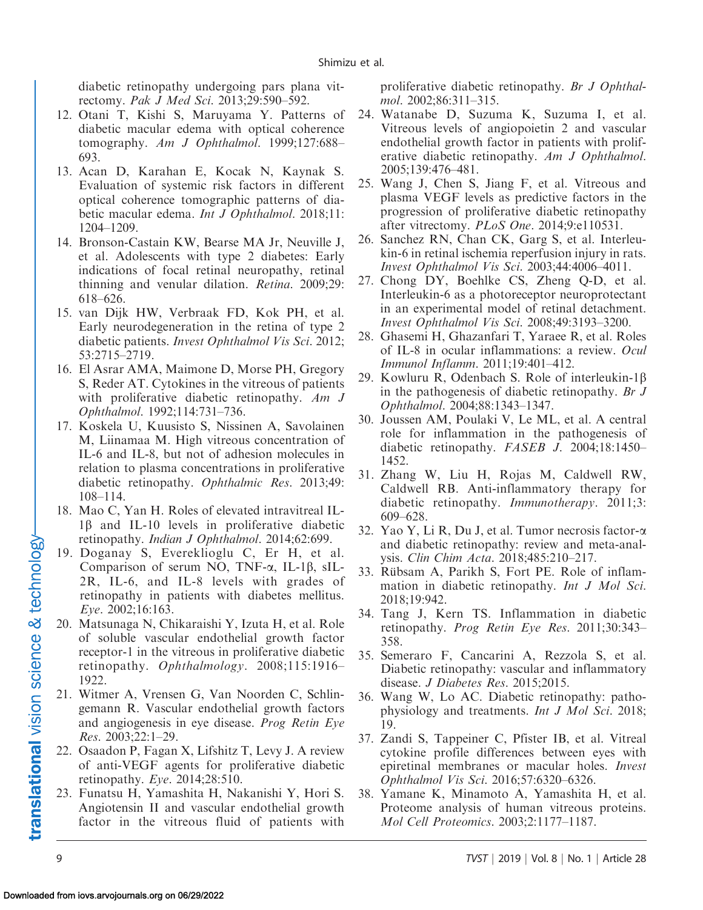<span id="page-8-0"></span>diabetic retinopathy undergoing pars plana vitrectomy. Pak J Med Sci. 2013;29:590–592.

- 12. Otani T, Kishi S, Maruyama Y. Patterns of diabetic macular edema with optical coherence tomography. Am J Ophthalmol. 1999;127:688-693.
- 13. Acan D, Karahan E, Kocak N, Kaynak S. Evaluation of systemic risk factors in different optical coherence tomographic patterns of diabetic macular edema. Int J Ophthalmol. 2018;11: 1204–1209.
- 14. Bronson-Castain KW, Bearse MA Jr, Neuville J, et al. Adolescents with type 2 diabetes: Early indications of focal retinal neuropathy, retinal thinning and venular dilation. Retina. 2009;29: 618–626.
- 15. van Dijk HW, Verbraak FD, Kok PH, et al. Early neurodegeneration in the retina of type 2 diabetic patients. Invest Ophthalmol Vis Sci. 2012; 53:2715–2719.
- 16. El Asrar AMA, Maimone D, Morse PH, Gregory S, Reder AT. Cytokines in the vitreous of patients with proliferative diabetic retinopathy. Am J Ophthalmol. 1992;114:731–736.
- 17. Koskela U, Kuusisto S, Nissinen A, Savolainen M, Liinamaa M. High vitreous concentration of IL-6 and IL-8, but not of adhesion molecules in relation to plasma concentrations in proliferative diabetic retinopathy. Ophthalmic Res. 2013;49: 108–114.
- 18. Mao C, Yan H. Roles of elevated intravitreal IL- $1\beta$  and IL-10 levels in proliferative diabetic retinopathy. Indian J Ophthalmol. 2014;62:699.
- 19. Doganay S, Evereklioglu C, Er H, et al. Comparison of serum NO, TNF- $\alpha$ , IL-1 $\beta$ , sIL-2R, IL-6, and IL-8 levels with grades of retinopathy in patients with diabetes mellitus. Eye. 2002;16:163.
- 20. Matsunaga N, Chikaraishi Y, Izuta H, et al. Role of soluble vascular endothelial growth factor receptor-1 in the vitreous in proliferative diabetic retinopathy. Ophthalmology. 2008;115:1916– 1922.
- 21. Witmer A, Vrensen G, Van Noorden C, Schlingemann R. Vascular endothelial growth factors and angiogenesis in eye disease. Prog Retin Eye Res. 2003;22:1–29.
- 22. Osaadon P, Fagan X, Lifshitz T, Levy J. A review of anti-VEGF agents for proliferative diabetic retinopathy. Eye. 2014;28:510.
- 23. Funatsu H, Yamashita H, Nakanishi Y, Hori S. Angiotensin II and vascular endothelial growth factor in the vitreous fluid of patients with

proliferative diabetic retinopathy. Br J Ophthalmol. 2002;86:311–315.

- 24. Watanabe D, Suzuma K, Suzuma I, et al. Vitreous levels of angiopoietin 2 and vascular endothelial growth factor in patients with proliferative diabetic retinopathy. Am J Ophthalmol. 2005;139:476–481.
- 25. Wang J, Chen S, Jiang F, et al. Vitreous and plasma VEGF levels as predictive factors in the progression of proliferative diabetic retinopathy after vitrectomy. PLoS One. 2014;9:e110531.
- 26. Sanchez RN, Chan CK, Garg S, et al. Interleukin-6 in retinal ischemia reperfusion injury in rats. Invest Ophthalmol Vis Sci. 2003;44:4006–4011.
- 27. Chong DY, Boehlke CS, Zheng Q-D, et al. Interleukin-6 as a photoreceptor neuroprotectant in an experimental model of retinal detachment. Invest Ophthalmol Vis Sci. 2008;49:3193–3200.
- 28. Ghasemi H, Ghazanfari T, Yaraee R, et al. Roles of IL-8 in ocular inflammations: a review. Ocul Immunol Inflamm. 2011;19:401–412.
- 29. Kowluru R, Odenbach S. Role of interleukin-1 $\beta$ in the pathogenesis of diabetic retinopathy. Br J Ophthalmol. 2004;88:1343–1347.
- 30. Joussen AM, Poulaki V, Le ML, et al. A central role for inflammation in the pathogenesis of diabetic retinopathy. FASEB J. 2004;18:1450– 1452.
- 31. Zhang W, Liu H, Rojas M, Caldwell RW, Caldwell RB. Anti-inflammatory therapy for diabetic retinopathy. Immunotherapy. 2011;3: 609–628.
- 32. Yao Y, Li R, Du J, et al. Tumor necrosis factor-a and diabetic retinopathy: review and meta-analysis. Clin Chim Acta. 2018;485:210–217.
- 33. Rübsam A, Parikh S, Fort PE. Role of inflammation in diabetic retinopathy. Int J Mol Sci. 2018;19:942.
- 34. Tang J, Kern TS. Inflammation in diabetic retinopathy. Prog Retin Eye Res. 2011;30:343– 358.
- 35. Semeraro F, Cancarini A, Rezzola S, et al. Diabetic retinopathy: vascular and inflammatory disease. J Diabetes Res. 2015;2015.
- 36. Wang W, Lo AC. Diabetic retinopathy: pathophysiology and treatments. Int J Mol Sci. 2018; 19.
- 37. Zandi S, Tappeiner C, Pfister IB, et al. Vitreal cytokine profile differences between eyes with epiretinal membranes or macular holes. Invest Ophthalmol Vis Sci. 2016;57:6320–6326.
- 38. Yamane K, Minamoto A, Yamashita H, et al. Proteome analysis of human vitreous proteins. Mol Cell Proteomics. 2003;2:1177–1187.